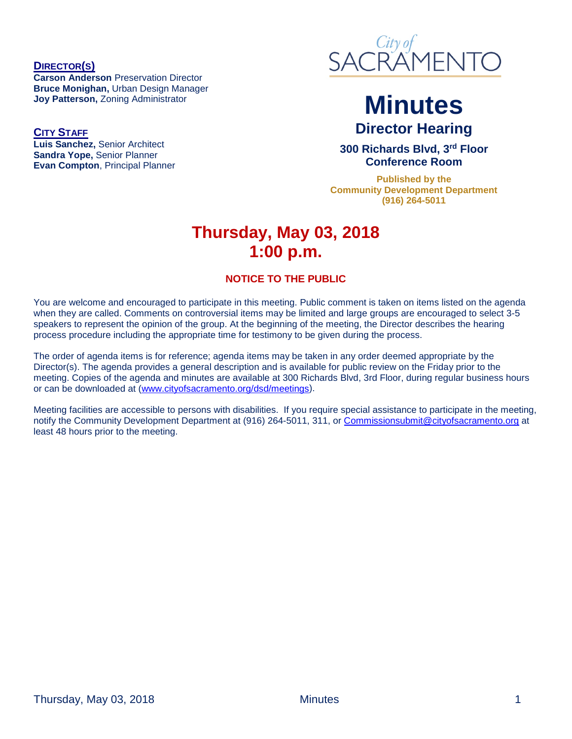**DIRECTOR(S) Carson Anderson** Preservation Director **Bruce Monighan,** Urban Design Manager **Joy Patterson,** Zoning Administrator

**CITY STAFF Luis Sanchez,** Senior Architect **Sandra Yope,** Senior Planner **Evan Compton**, Principal Planner



# **Minutes Director Hearing**

**300 Richards Blvd, 3rd Floor Conference Room**

**Published by the Community Development Department (916) 264-5011**

## **Thursday, May 03, 2018 1:00 p.m.**

#### **NOTICE TO THE PUBLIC**

You are welcome and encouraged to participate in this meeting. Public comment is taken on items listed on the agenda when they are called. Comments on controversial items may be limited and large groups are encouraged to select 3-5 speakers to represent the opinion of the group. At the beginning of the meeting, the Director describes the hearing process procedure including the appropriate time for testimony to be given during the process.

The order of agenda items is for reference; agenda items may be taken in any order deemed appropriate by the Director(s). The agenda provides a general description and is available for public review on the Friday prior to the meeting. Copies of the agenda and minutes are available at 300 Richards Blvd, 3rd Floor, during regular business hours or can be downloaded at [\(www.cityofsacramento.org/dsd/meetings\)](http://www.cityofsacramento.org/dsd/meetings).

Meeting facilities are accessible to persons with disabilities. If you require special assistance to participate in the meeting, notify the Community Development Department at (916) 264-5011, 311, or [Commissionsubmit@cityofsacramento.org](mailto:Commissionsubmit@cityofsacramento.org) at least 48 hours prior to the meeting.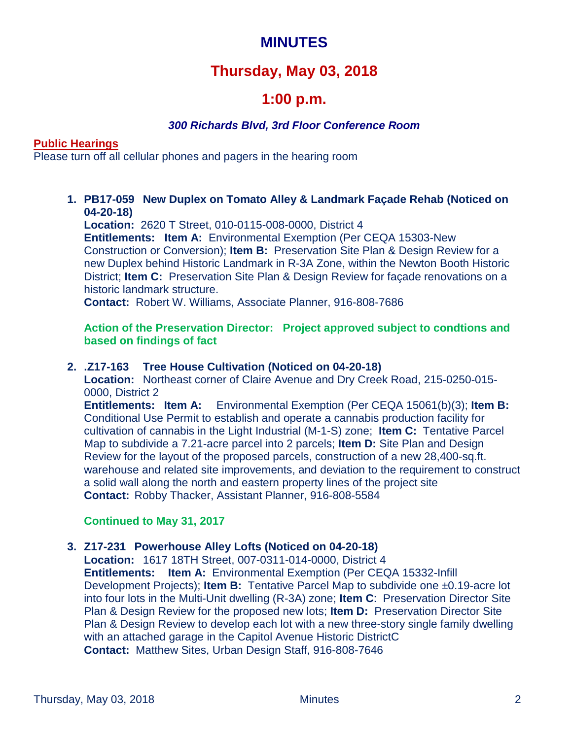## **MINUTES**

## **Thursday, May 03, 2018**

## **1:00 p.m.**

#### *300 Richards Blvd, 3rd Floor Conference Room*

#### **Public Hearings**

Please turn off all cellular phones and pagers in the hearing room

**1. PB17-059 New Duplex on Tomato Alley & Landmark Façade Rehab (Noticed on 04-20-18)**

**Location:** 2620 T Street, 010-0115-008-0000, District 4 **Entitlements: Item A:** Environmental Exemption (Per CEQA 15303-New Construction or Conversion); **Item B:** Preservation Site Plan & Design Review for a new Duplex behind Historic Landmark in R-3A Zone, within the Newton Booth Historic District; **Item C:** Preservation Site Plan & Design Review for façade renovations on a historic landmark structure.

**Contact:** Robert W. Williams, Associate Planner, 916-808-7686

**Action of the Preservation Director: Project approved subject to condtions and based on findings of fact**

#### **2. .Z17-163 Tree House Cultivation (Noticed on 04-20-18)**

**Location:** Northeast corner of Claire Avenue and Dry Creek Road, 215-0250-015- 0000, District 2

**Entitlements: Item A:** Environmental Exemption (Per CEQA 15061(b)(3); **Item B:** Conditional Use Permit to establish and operate a cannabis production facility for cultivation of cannabis in the Light Industrial (M-1-S) zone; **Item C:** Tentative Parcel Map to subdivide a 7.21-acre parcel into 2 parcels; **Item D:** Site Plan and Design Review for the layout of the proposed parcels, construction of a new 28,400-sq.ft. warehouse and related site improvements, and deviation to the requirement to construct a solid wall along the north and eastern property lines of the project site **Contact:** Robby Thacker, Assistant Planner, 916-808-5584

#### **Continued to May 31, 2017**

#### **3. Z17-231 Powerhouse Alley Lofts (Noticed on 04-20-18)**

**Location:** 1617 18TH Street, 007-0311-014-0000, District 4 **Entitlements: Item A:** Environmental Exemption (Per CEQA 15332-Infill Development Projects); **Item B:** Tentative Parcel Map to subdivide one ±0.19-acre lot into four lots in the Multi-Unit dwelling (R-3A) zone; **Item C**: Preservation Director Site Plan & Design Review for the proposed new lots; **Item D:** Preservation Director Site Plan & Design Review to develop each lot with a new three-story single family dwelling with an attached garage in the Capitol Avenue Historic DistrictC **Contact:** Matthew Sites, Urban Design Staff, 916-808-7646